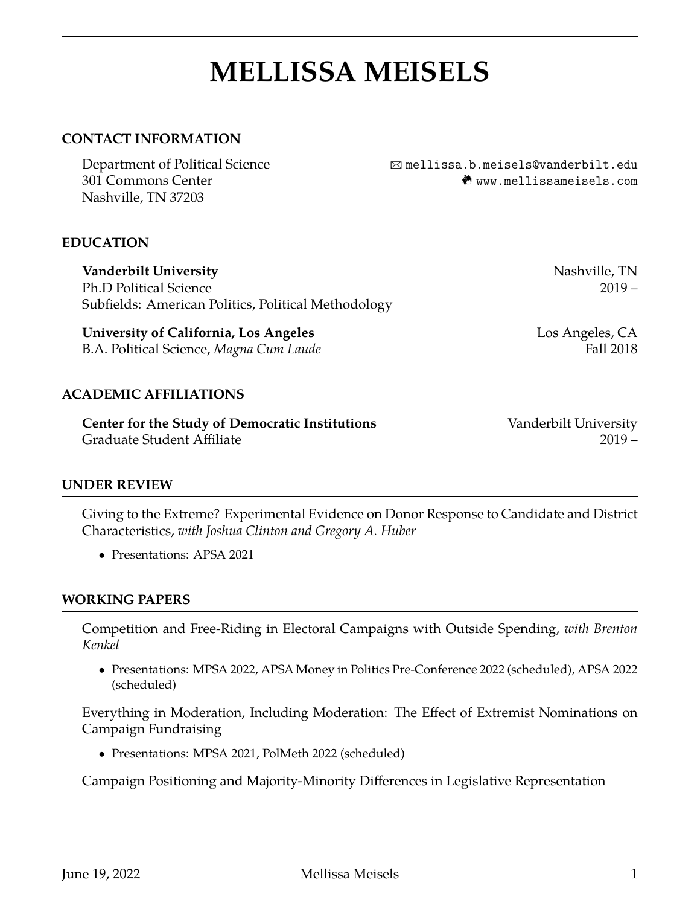# **MELLISSA MEISELS**

## **CONTACT INFORMATION**

Nashville, TN 37203

Department of Political Science B [mellissa.b.meisels@vanderbilt.edu](mailto:mellissa.b.meisels@vanderbilt.edu) 301 Commons Center m <www.mellissameisels.com>

### **EDUCATION**

**Vanderbilt University** Nashville, TN Ph.D Political Science 2019 – Subfields: American Politics, Political Methodology

**University of California, Los Angeles** Los Angeles, CA B.A. Political Science, *Magna Cum Laude* Fall 2018

## **ACADEMIC AFFILIATIONS**

**Center for the Study of Democratic Institutions** Vanderbilt University Graduate Student Affiliate 2019 –

### **UNDER REVIEW**

Giving to the Extreme? Experimental Evidence on Donor Response to Candidate and District Characteristics, *with Joshua Clinton and Gregory A. Huber*

• Presentations: APSA 2021

### **WORKING PAPERS**

Competition and Free-Riding in Electoral Campaigns with Outside Spending, *with Brenton Kenkel*

• Presentations: MPSA 2022, APSA Money in Politics Pre-Conference 2022 (scheduled), APSA 2022 (scheduled)

Everything in Moderation, Including Moderation: The Effect of Extremist Nominations on Campaign Fundraising

• Presentations: MPSA 2021, PolMeth 2022 (scheduled)

Campaign Positioning and Majority-Minority Differences in Legislative Representation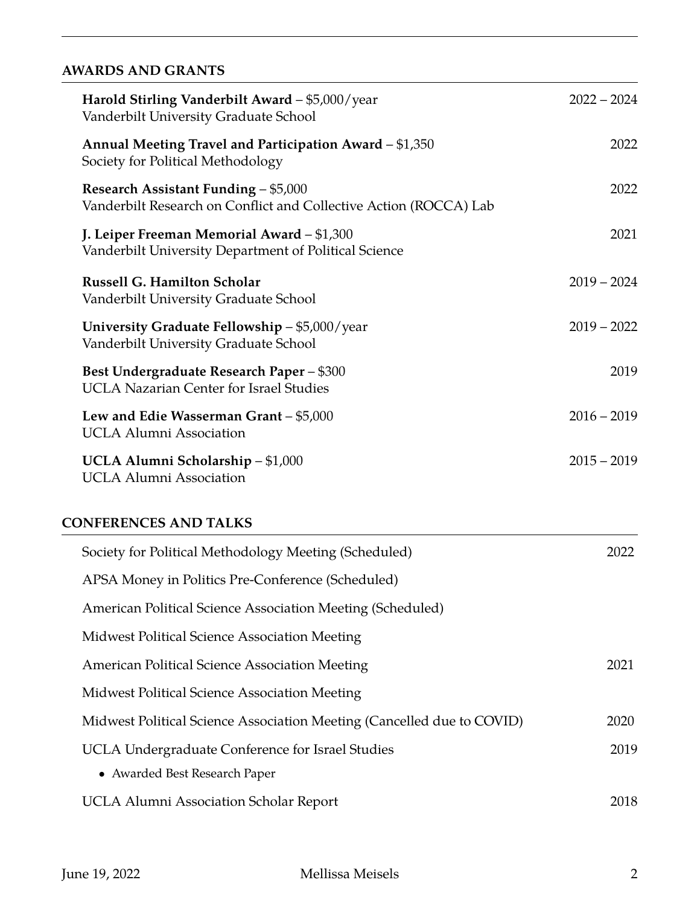# **AWARDS AND GRANTS**

| Harold Stirling Vanderbilt Award - \$5,000/year<br>Vanderbilt University Graduate School                  | $2022 - 2024$ |
|-----------------------------------------------------------------------------------------------------------|---------------|
| Annual Meeting Travel and Participation Award - \$1,350<br>Society for Political Methodology              | 2022          |
| Research Assistant Funding - \$5,000<br>Vanderbilt Research on Conflict and Collective Action (ROCCA) Lab | 2022          |
| J. Leiper Freeman Memorial Award - \$1,300<br>Vanderbilt University Department of Political Science       | 2021          |
| <b>Russell G. Hamilton Scholar</b><br>Vanderbilt University Graduate School                               | $2019 - 2024$ |
| University Graduate Fellowship - \$5,000/year<br>Vanderbilt University Graduate School                    | $2019 - 2022$ |
| Best Undergraduate Research Paper - \$300<br><b>UCLA Nazarian Center for Israel Studies</b>               | 2019          |
| Lew and Edie Wasserman Grant - \$5,000<br><b>UCLA Alumni Association</b>                                  | $2016 - 2019$ |
| UCLA Alumni Scholarship - \$1,000<br><b>UCLA Alumni Association</b>                                       | $2015 - 2019$ |
| <b>CONFERENCES AND TALKS</b>                                                                              |               |
| Society for Political Methodology Meeting (Scheduled)                                                     | 2022          |
| APSA Money in Politics Pre-Conference (Scheduled)                                                         |               |
| American Political Science Association Meeting (Scheduled)                                                |               |

Midwest Political Science Association Meeting

American Political Science Association Meeting 2021

Midwest Political Science Association Meeting Midwest Political Science Association Meeting (Cancelled due to COVID) 2020 UCLA Undergraduate Conference for Israel Studies 2019 • Awarded Best Research Paper

UCLA Alumni Association Scholar Report 2018